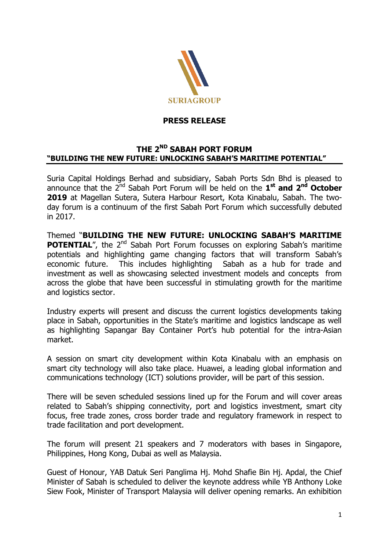

## **PRESS RELEASE**

## **THE 2ND SABAH PORT FORUM "BUILDING THE NEW FUTURE: UNLOCKING SABAH'S MARITIME POTENTIAL"**

Suria Capital Holdings Berhad and subsidiary, Sabah Ports Sdn Bhd is pleased to announce that the 2<sup>nd</sup> Sabah Port Forum will be held on the 1<sup>st</sup> and 2<sup>nd</sup> October **2019** at Magellan Sutera, Sutera Harbour Resort, Kota Kinabalu, Sabah. The twoday forum is a continuum of the first Sabah Port Forum which successfully debuted in 2017.

Themed "**BUILDING THE NEW FUTURE: UNLOCKING SABAH'S MARITIME POTENTIAL**", the 2<sup>nd</sup> Sabah Port Forum focusses on exploring Sabah's maritime potentials and highlighting game changing factors that will transform Sabah's economic future. This includes highlighting Sabah as a hub for trade and investment as well as showcasing selected investment models and concepts from across the globe that have been successful in stimulating growth for the maritime and logistics sector.

Industry experts will present and discuss the current logistics developments taking place in Sabah, opportunities in the State's maritime and logistics landscape as well as highlighting Sapangar Bay Container Port's hub potential for the intra-Asian market.

A session on smart city development within Kota Kinabalu with an emphasis on smart city technology will also take place. Huawei, a leading global information and communications technology (ICT) solutions provider, will be part of this session.

There will be seven scheduled sessions lined up for the Forum and will cover areas related to Sabah's shipping connectivity, port and logistics investment, smart city focus, free trade zones, cross border trade and regulatory framework in respect to trade facilitation and port development.

The forum will present 21 speakers and 7 moderators with bases in Singapore, Philippines, Hong Kong, Dubai as well as Malaysia.

Guest of Honour, YAB Datuk Seri Panglima Hj. Mohd Shafie Bin Hj. Apdal, the Chief Minister of Sabah is scheduled to deliver the keynote address while YB Anthony Loke Siew Fook, Minister of Transport Malaysia will deliver opening remarks. An exhibition